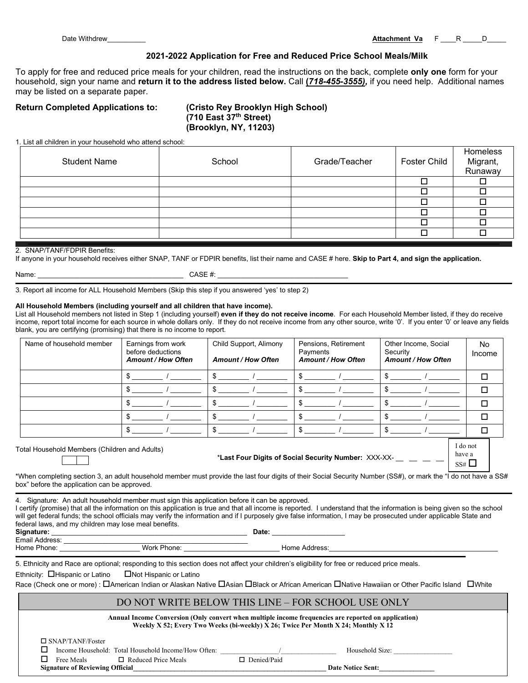Date Withdrew\_\_\_\_\_\_\_\_\_\_ **Attachment Va** F \_\_\_\_R \_\_\_\_\_D\_\_\_\_\_

# **2021-2022 Application for Free and Reduced Price School Meals/Milk**

To apply for free and reduced price meals for your children, read the instructions on the back, complete **only one** form for your household, sign your name and **return it to the address listed below.** Call **(***718-455-3555),* if you need help. Additional names may be listed on a separate paper.

# **Return Completed Applications to: (Cristo Rey Brooklyn High School)**

**(710 East 37th Street) (Brooklyn, NY, 11203)**

1. List all children in your household who attend school:

| <b>Student Name</b> | School | Grade/Teacher | Foster Child | Homeless<br>Migrant,<br>Runaway |
|---------------------|--------|---------------|--------------|---------------------------------|
|                     |        |               |              |                                 |
|                     |        |               |              |                                 |
|                     |        |               |              |                                 |
|                     |        |               |              |                                 |
|                     |        |               |              |                                 |
|                     |        |               |              |                                 |

#### 2. SNAP/TANF/FDPIR Benefits:

If anyone in your household receives either SNAP, TANF or FDPIR benefits, list their name and CASE # here. **Skip to Part 4, and sign the application.**

 $CASE \#:$ 

3. Report all income for ALL Household Members (Skip this step if you answered 'yes' to step 2)

#### **All Household Members (including yourself and all children that have income).**

List all Household members not listed in Step 1 (including yourself) **even if they do not receive income**. For each Household Member listed, if they do receive income, report total income for each source in whole dollars only. If they do not receive income from any other source, write '0'. If you enter '0' or leave any fields blank, you are certifying (promising) that there is no income to report.

| Name of household member                                                                                                 | Earnings from work<br>before deductions<br><b>Amount / How Often</b> | Child Support, Alimony<br><b>Amount / How Often</b> | Pensions, Retirement<br>Payments<br><b>Amount / How Often</b> | Other Income, Social<br>Security<br><b>Amount / How Often</b> | No.<br>Income |
|--------------------------------------------------------------------------------------------------------------------------|----------------------------------------------------------------------|-----------------------------------------------------|---------------------------------------------------------------|---------------------------------------------------------------|---------------|
|                                                                                                                          | ъ                                                                    |                                                     |                                                               |                                                               |               |
|                                                                                                                          | ж.                                                                   |                                                     |                                                               |                                                               | ⊓             |
|                                                                                                                          |                                                                      |                                                     |                                                               |                                                               | П             |
|                                                                                                                          |                                                                      |                                                     |                                                               |                                                               |               |
|                                                                                                                          |                                                                      |                                                     |                                                               |                                                               |               |
| $\mathbf{T}$ . And the second contribution of $\mathbf{A}$ . The final contribution of $\mathbf{A}$ and the $\mathbf{A}$ |                                                                      |                                                     |                                                               | I do not                                                      |               |

Total Household Members (Children and Adults)

\***Last Four Digits of Social Security Number:** XXX-XX- \_\_ \_\_ \_\_ \_\_

have a  $SS#$ 

\*When completing section 3, an adult household member must provide the last four digits of their Social Security Number (SS#), or mark the "I do not have a SS# box" before the application can be approved.

4. Signature: An adult household member must sign this application before it can be approved.

I certify (promise) that all the information on this application is true and that all income is reported. I understand that the information is being given so the school will get federal funds; the school officials may verify the information and if I purposely give false information, I may be prosecuted under applicable State and federal laws, and my children may lose meal benefits.

| Signature:        | )ate |
|-------------------|------|
| Email<br>Address: |      |

Home Phone: \_\_\_\_\_\_\_\_\_\_\_\_\_\_\_\_\_\_\_\_\_ Work Phone: \_\_\_\_\_\_\_\_\_\_\_\_\_\_\_\_\_\_\_\_\_\_\_\_\_ Home Address:\_\_\_\_\_\_\_\_\_\_\_\_\_\_\_\_\_\_\_\_\_\_\_\_\_\_\_\_\_\_\_\_\_\_\_\_\_\_\_\_\_\_\_\_

5. Ethnicity and Race are optional; responding to this section does not affect your children's eligibility for free or reduced price meals.

Ethnicity:  $\Box$ Hispanic or Latino  $\Box$  Not Hispanic or Latino

Race (Check one or more) :  $\Box$ American Indian or Alaskan Native  $\Box$ Asian  $\Box$ Black or African American  $\Box$ Native Hawaiian or Other Pacific Island  $\Box$ White

# DO NOT WRITE BELOW THIS LINE – FOR SCHOOL USE ONLY

| Annual Income Conversion (Only convert when multiple income frequencies are reported on application)<br>Weekly X 52; Every Two Weeks (bi-weekly) X 26; Twice Per Month X 24; Monthly X 12 |                                                     |                    |                          |  |
|-------------------------------------------------------------------------------------------------------------------------------------------------------------------------------------------|-----------------------------------------------------|--------------------|--------------------------|--|
| $\Box$ SNAP/TANF/Foster                                                                                                                                                                   |                                                     |                    |                          |  |
|                                                                                                                                                                                           | Income Household: Total Household Income/How Often: |                    | Household Size:          |  |
| Free Meals                                                                                                                                                                                | $\Box$ Reduced Price Meals                          | $\Box$ Denied/Paid |                          |  |
| <b>Signature of Reviewing Official</b>                                                                                                                                                    |                                                     |                    | <b>Date Notice Sent:</b> |  |